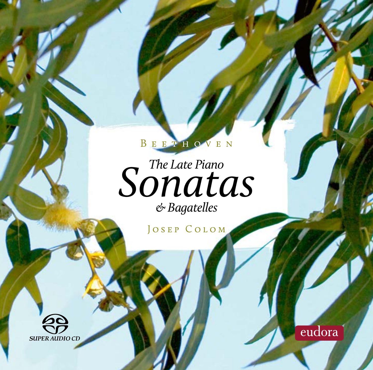Beethoven

# *The Late Piano Sonatas & Bagatelles*

Josep Colom



eudora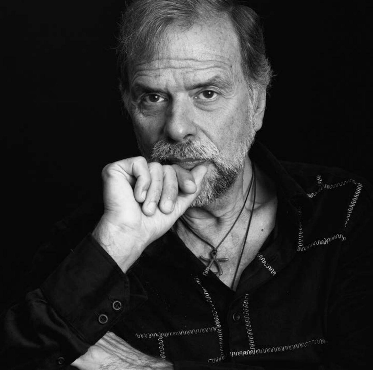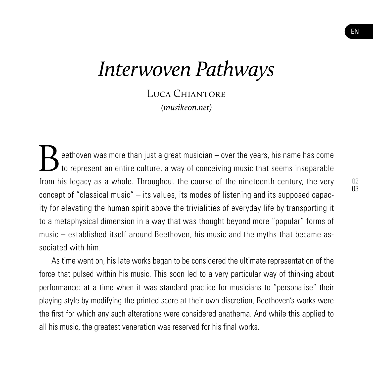## *Interwoven Pathways*

Luca Chiantore *(musikeon.net)*

 $e$ eethoven was more than just a great musician – over the years, his name has come to represent an entire culture, a way of conceiving music that seems inseparable from his legacy as a whole. Throughout the course of the nineteenth century, the very concept of "classical music" – its values, its modes of listening and its supposed capacity for elevating the human spirit above the trivialities of everyday life by transporting it to a metaphysical dimension in a way that was thought beyond more "popular" forms of music – established itself around Beethoven, his music and the myths that became associated with him.

As time went on, his late works began to be considered the ultimate representation of the force that pulsed within his music. This soon led to a very particular way of thinking about performance: at a time when it was standard practice for musicians to "personalise" their playing style by modifying the printed score at their own discretion, Beethoven's works were the first for which any such alterations were considered anathema. And while this applied to all his music, the greatest veneration was reserved for his final works.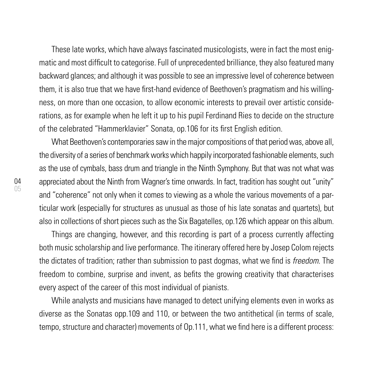These late works, which have always fascinated musicologists, were in fact the most enigmatic and most difcult to categorise. Full of unprecedented brilliance, they also featured many backward glances; and although it was possible to see an impressive level of coherence between them, it is also true that we have first-hand evidence of Beethoven's pragmatism and his willingness, on more than one occasion, to allow economic interests to prevail over artistic considerations, as for example when he left it up to his pupil Ferdinand Ries to decide on the structure of the celebrated "Hammerklavier" Sonata, op.106 for its first English edition.

What Beethoven's contemporaries saw in the major compositions of that period was, above all, the diversity of a series of benchmark works which happily incorporated fashionable elements, such as the use of cymbals, bass drum and triangle in the Ninth Symphony. But that was not what was appreciated about the Ninth from Wagner's time onwards. In fact, tradition has sought out "unity" and "coherence" not only when it comes to viewing as a whole the various movements of a particular work (especially for structures as unusual as those of his late sonatas and quartets), but also in collections of short pieces such as the Six Bagatelles, op.126 which appear on this album.

Things are changing, however, and this recording is part of a process currently affecting both music scholarship and live performance. The itinerary offered here by Josep Colom rejects the dictates of tradition; rather than submission to past dogmas, what we find is *freedom*. The freedom to combine, surprise and invent, as befits the growing creativity that characterises every aspect of the career of this most individual of pianists.

While analysts and musicians have managed to detect unifying elements even in works as diverse as the Sonatas opp.109 and 110, or between the two antithetical (in terms of scale, tempo, structure and character) movements of Op.111, what we find here is a different process: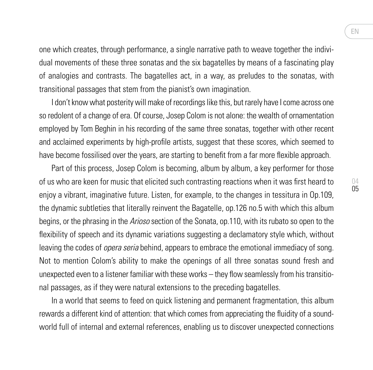one which creates, through performance, a single narrative path to weave together the individual movements of these three sonatas and the six bagatelles by means of a fascinating play of analogies and contrasts. The bagatelles act, in a way, as preludes to the sonatas, with transitional passages that stem from the pianist's own imagination.

I don't know what posterity will make of recordings like this, but rarely have I come across one so redolent of a change of era. Of course, Josep Colom is not alone: the wealth of ornamentation employed by Tom Beghin in his recording of the same three sonatas, together with other recent and acclaimed experiments by high-profile artists, suggest that these scores, which seemed to have become fossilised over the years, are starting to benefit from a far more flexible approach.

Part of this process, Josep Colom is becoming, album by album, a key performer for those of us who are keen for music that elicited such contrasting reactions when it was first heard to enjoy a vibrant, imaginative future. Listen, for example, to the changes in tessitura in Op.109, the dynamic subtleties that literally reinvent the Bagatelle, op.126 no.5 with which this album begins, or the phrasing in the *Arioso* section of the Sonata, op.110, with its rubato so open to the flexibility of speech and its dynamic variations suggesting a declamatory style which, without leaving the codes of *opera seria* behind, appears to embrace the emotional immediacy of song. Not to mention Colom's ability to make the openings of all three sonatas sound fresh and unexpected even to a listener familiar with these works – they flow seamlessly from his transitional passages, as if they were natural extensions to the preceding bagatelles.

In a world that seems to feed on quick listening and permanent fragmentation, this album rewards a different kind of attention: that which comes from appreciating the fluidity of a soundworld full of internal and external references, enabling us to discover unexpected connections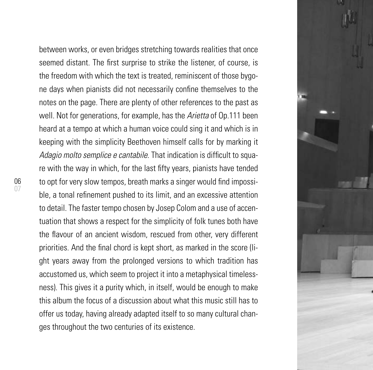between works, or even bridges stretching towards realities that once seemed distant. The first surprise to strike the listener, of course, is the freedom with which the text is treated, reminiscent of those bygone days when pianists did not necessarily confine themselves to the notes on the page. There are plenty of other references to the past as well. Not for generations, for example, has the *Arietta* of Op.111 been heard at a tempo at which a human voice could sing it and which is in keeping with the simplicity Beethoven himself calls for by marking it *Adagio molto semplice e cantabile*. That indication is difficult to square with the way in which, for the last fifty years, pianists have tended to opt for very slow tempos, breath marks a singer would find impossible, a tonal refinement pushed to its limit, and an excessive attention to detail. The faster tempo chosen by Josep Colom and a use of accentuation that shows a respect for the simplicity of folk tunes both have the flavour of an ancient wisdom, rescued from other, very different priorities. And the final chord is kept short, as marked in the score (light years away from the prolonged versions to which tradition has accustomed us, which seem to project it into a metaphysical timelessness). This gives it a purity which, in itself, would be enough to make this album the focus of a discussion about what this music still has to offer us today, having already adapted itself to so many cultural changes throughout the two centuries of its existence.

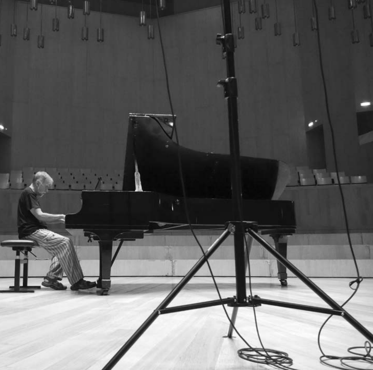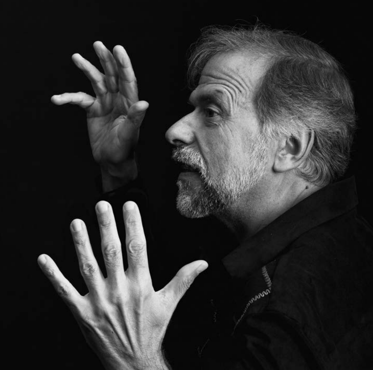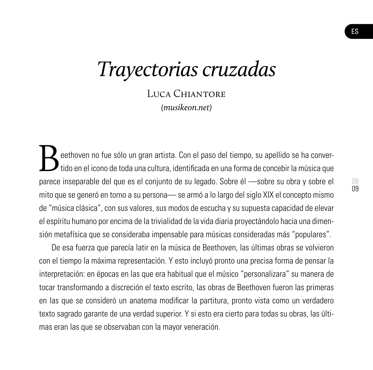## *Trayectorias cruzadas*

Luca Chiantore *(musikeon.net)*

eethoven no fue sólo un gran artista. Con el paso del tiempo, su apellido se ha convertido en el icono de toda una cultura, identificada en una forma de concebir la música que parece inseparable del que es el conjunto de su legado. Sobre él —sobre su obra y sobre el mito que se generó en torno a su persona— se armó a lo largo del siglo XIX el concepto mismo de "música clásica", con sus valores, sus modos de escucha y su supuesta capacidad de elevar el espíritu humano por encima de la trivialidad de la vida diaria proyectándolo hacia una dimensión metafísica que se consideraba impensable para músicas consideradas más "populares".

De esa fuerza que parecía latir en la música de Beethoven, las últimas obras se volvieron con el tiempo la máxima representación. Y esto incluyó pronto una precisa forma de pensar la interpretación: en épocas en las que era habitual que el músico "personalizara" su manera de tocar transformando a discreción el texto escrito, las obras de Beethoven fueron las primeras en las que se consideró un anatema modificar la partitura, pronto vista como un verdadero texto sagrado garante de una verdad superior. Y si esto era cierto para todas su obras, las últimas eran las que se observaban con la mayor veneración.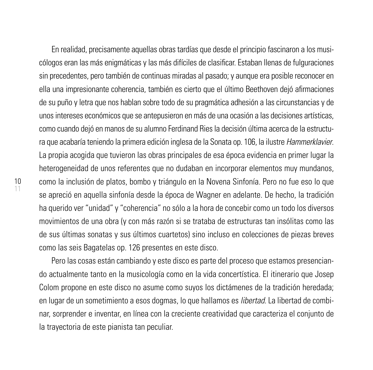En realidad, precisamente aquellas obras tardías que desde el principio fascinaron a los musicólogos eran las más enigmáticas y las más difíciles de clasificar. Estaban llenas de fulguraciones sin precedentes, pero también de continuas miradas al pasado; y aunque era posible reconocer en ella una impresionante coherencia, también es cierto que el último Beethoven dejó afirmaciones de su puño y letra que nos hablan sobre todo de su pragmática adhesión a las circunstancias y de unos intereses económicos que se antepusieron en más de una ocasión a las decisiones artísticas, como cuando dejó en manos de su alumno Ferdinand Ries la decisión última acerca de la estructura que acabaría teniendo la primera edición inglesa de la Sonata op. 106, la ilustre *Hammerklavier*. La propia acogida que tuvieron las obras principales de esa época evidencia en primer lugar la heterogeneidad de unos referentes que no dudaban en incorporar elementos muy mundanos, como la inclusión de platos, bombo y triángulo en la Novena Sinfonía. Pero no fue eso lo que se apreció en aquella sinfonía desde la época de Wagner en adelante. De hecho, la tradición ha querido ver "unidad" y "coherencia" no sólo a la hora de concebir como un todo los diversos movimientos de una obra (y con más razón si se trataba de estructuras tan insólitas como las de sus últimas sonatas y sus últimos cuartetos) sino incluso en colecciones de piezas breves como las seis Bagatelas op. 126 presentes en este disco.

Pero las cosas están cambiando y este disco es parte del proceso que estamos presenciando actualmente tanto en la musicología como en la vida concertística. El itinerario que Josep Colom propone en este disco no asume como suyos los dictámenes de la tradición heredada; en lugar de un sometimiento a esos dogmas, lo que hallamos es *libertad*. La libertad de combinar, sorprender e inventar, en línea con la creciente creatividad que caracteriza el conjunto de la trayectoria de este pianista tan peculiar.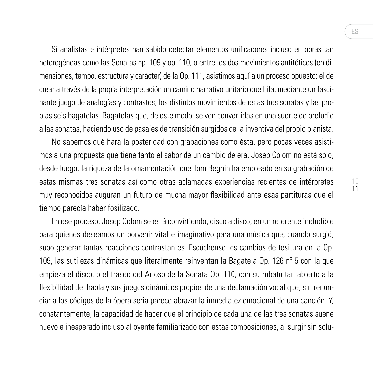Si analistas e intérpretes han sabido detectar elementos unificadores incluso en obras tan heterogéneas como las Sonatas op. 109 y op. 110, o entre los dos movimientos antitéticos (en dimensiones, tempo, estructura y carácter) de la Op. 111, asistimos aquí a un proceso opuesto: el de crear a través de la propia interpretación un camino narrativo unitario que hila, mediante un fascinante juego de analogías y contrastes, los distintos movimientos de estas tres sonatas y las propias seis bagatelas. Bagatelas que, de este modo, se ven convertidas en una suerte de preludio a las sonatas, haciendo uso de pasajes de transición surgidos de la inventiva del propio pianista.

No sabemos qué hará la posteridad con grabaciones como ésta, pero pocas veces asistimos a una propuesta que tiene tanto el sabor de un cambio de era. Josep Colom no está solo, desde luego: la riqueza de la ornamentación que Tom Beghin ha empleado en su grabación de estas mismas tres sonatas así como otras aclamadas experiencias recientes de intérpretes muy reconocidos auguran un futuro de mucha mayor flexibilidad ante esas partituras que el tiempo parecía haber fosilizado.

En ese proceso, Josep Colom se está convirtiendo, disco a disco, en un referente ineludible para quienes deseamos un porvenir vital e imaginativo para una música que, cuando surgió, supo generar tantas reacciones contrastantes. Escúchense los cambios de tesitura en la Op. 109, las sutilezas dinámicas que literalmente reinventan la Bagatela Op. 126 nº 5 con la que empieza el disco, o el fraseo del Arioso de la Sonata Op. 110, con su rubato tan abierto a la exibilidad del habla y sus juegos dinámicos propios de una declamación vocal que, sin renunciar a los códigos de la ópera seria parece abrazar la inmediatez emocional de una canción. Y, constantemente, la capacidad de hacer que el principio de cada una de las tres sonatas suene nuevo e inesperado incluso al oyente familiarizado con estas composiciones, al surgir sin solu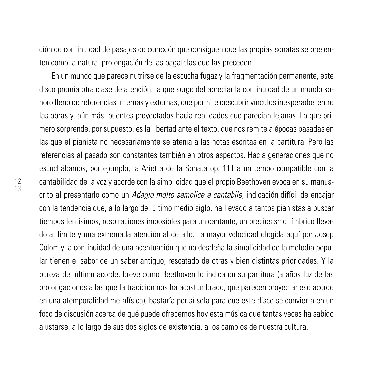ción de continuidad de pasajes de conexión que consiguen que las propias sonatas se presenten como la natural prolongación de las bagatelas que las preceden.

En un mundo que parece nutrirse de la escucha fugaz y la fragmentación permanente, este disco premia otra clase de atención: la que surge del apreciar la continuidad de un mundo sonoro lleno de referencias internas y externas, que permite descubrir vínculos inesperados entre las obras y, aún más, puentes proyectados hacia realidades que parecían lejanas. Lo que primero sorprende, por supuesto, es la libertad ante el texto, que nos remite a épocas pasadas en las que el pianista no necesariamente se atenía a las notas escritas en la partitura. Pero las referencias al pasado son constantes también en otros aspectos. Hacía generaciones que no escuchábamos, por ejemplo, la Arietta de la Sonata op. 111 a un tempo compatible con la cantabilidad de la voz y acorde con la simplicidad que el propio Beethoven evoca en su manuscrito al presentarlo como un *Adagio molto semplice e cantabile*, indicación difícil de encajar con la tendencia que, a lo largo del último medio siglo, ha llevado a tantos pianistas a buscar tiempos lentísimos, respiraciones imposibles para un cantante, un preciosismo tímbrico llevado al límite y una extremada atención al detalle. La mayor velocidad elegida aquí por Josep Colom y la continuidad de una acentuación que no desdeña la simplicidad de la melodía popular tienen el sabor de un saber antiguo, rescatado de otras y bien distintas prioridades. Y la pureza del último acorde, breve como Beethoven lo indica en su partitura (a años luz de las prolongaciones a las que la tradición nos ha acostumbrado, que parecen proyectar ese acorde en una atemporalidad metafísica), bastaría por sí sola para que este disco se convierta en un foco de discusión acerca de qué puede ofrecernos hoy esta música que tantas veces ha sabido ajustarse, a lo largo de sus dos siglos de existencia, a los cambios de nuestra cultura.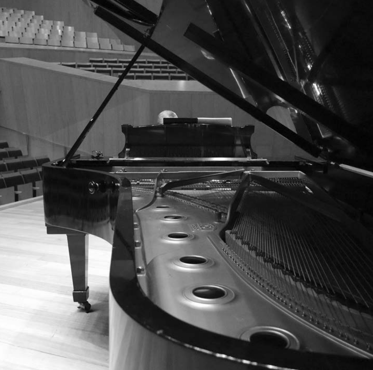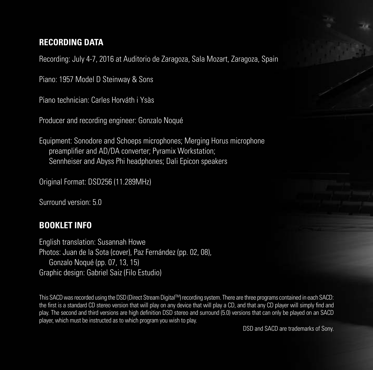#### **RECORDING DATA**

Recording: July 4-7, 2016 at Auditorio de Zaragoza, Sala Mozart, Zaragoza, Spain

Piano: 1957 Model D Steinway & Sons

Piano technician: Carles Horváth i Ysàs

Producer and recording engineer: Gonzalo Noqué

Equipment: Sonodore and Schoeps microphones; Merging Horus microphone preamplifier and AD/DA converter; Pyramix Workstation; Sennheiser and Abyss Phi headphones; Dali Epicon speakers

Original Format: DSD256 (11.289MHz)

Surround version: 5.0

#### **BOOKLET INFO**

English translation: Susannah Howe Photos: Juan de la Sota (cover), Paz Fernández (pp. 02, 08), Gonzalo Noqué (pp. 07, 13, 15) Graphic design: Gabriel Saiz (Filo Estudio)

This SACD was recorded using the DSD (Direct Stream Digital<sup>TM</sup>) recording system. There are three programs contained in each SACD: the first is a standard CD stereo version that will play on any device that will play a CD, and that any CD player will simply find and play. The second and third versions are high definition DSD stereo and surround (5.0) versions that can only be played on an SACD player, which must be instructed as to which program you wish to play.

DSD and SACD are trademarks of Sony.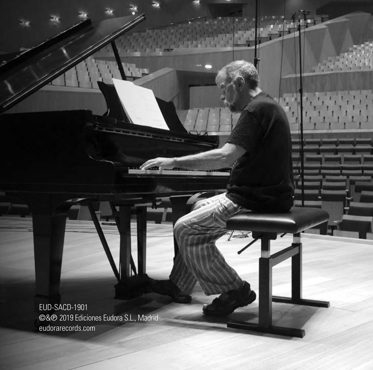EUD-SACD-1901 ©&℗ 2019 Ediciones Eudora S.L., Madrid eudorarecords.com